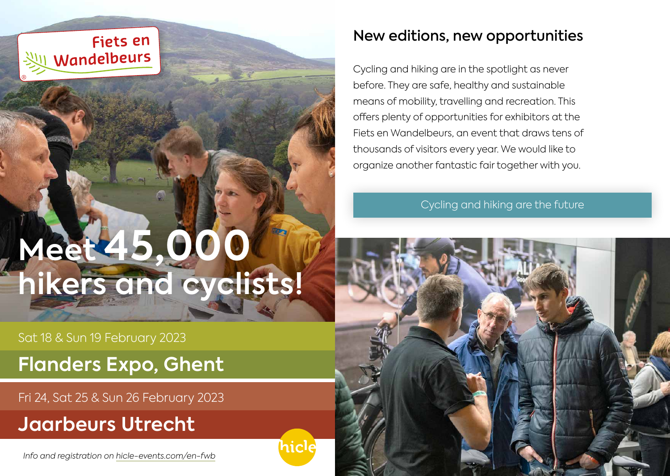## **Fiets en** Wandelbeurs

# **Meet 45,000 hikers and cyclists!**

iicle

Sat 18 & Sun 19 February 2023

**Flanders Expo, Ghent** 

Fri 24, Sat 25 & Sun 26 February 2023

# **Jaarbeurs Utrecht**

*Info and registration on [hicle-events.com/en-fwb](https://www.hicle-events.com/index.php/en/home/fwb-en)*

## New editions, new opportunities

Cycling and hiking are in the spotlight as never before. They are safe, healthy and sustainable means of mobility, travelling and recreation. This offers plenty of opportunities for exhibitors at the Fiets en Wandelbeurs, an event that draws tens of thousands of visitors every year. We would like to organize another fantastic fair together with you.

Cycling and hiking are the future

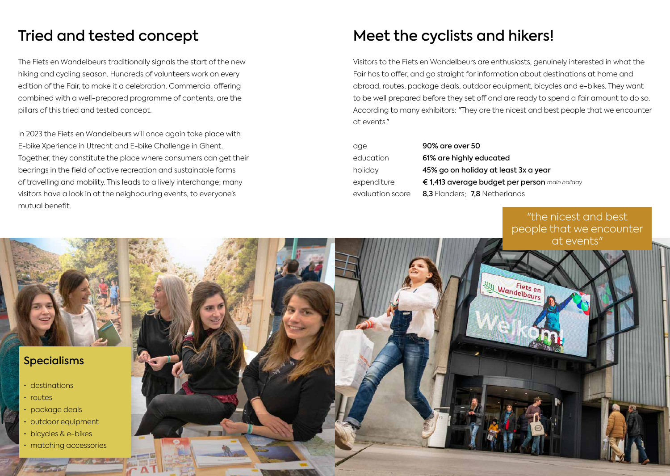## Tried and tested concept

The Fiets en Wandelbeurs traditionally signals the start of the new hiking and cycling season. Hundreds of volunteers work on every edition of the Fair, to make it a celebration. Commercial offering combined with a well-prepared programme of contents, are the pillars of this tried and tested concept.

In 2023 the Fiets en Wandelbeurs will once again take place with E-bike Xperience in Utrecht and E-bike Challenge in Ghent. Together, they constitute the place where consumers can get their bearings in the field of active recreation and sustainable forms of travelling and mobility. This leads to a lively interchange; many visitors have a look in at the neighbouring events, to everyone's mutual benefit.

## Meet the cyclists and hikers!

Visitors to the Fiets en Wandelbeurs are enthusiasts, genuinely interested in what the Fair has to offer, and go straight for information about destinations at home and abroad, routes, package deals, outdoor equipment, bicycles and e-bikes. They want to be well prepared before they set off and are ready to spend a fair amount to do so. According to many exhibitors: "They are the nicest and best people that we encounter at events."

| age              | 90% are over 50                                |
|------------------|------------------------------------------------|
| education        | 61% are highly educated                        |
| holiday          | 45% go on holiday at least 3x a year           |
| expenditure      | € 1,413 average budget per person main holiday |
| evaluation score | 8,3 Flanders; 7,8 Netherlands                  |

"the nicest and best people that we encounter at events"



#### Specialisms

- destinations
- routes
- package deals
- outdoor equipment
- bicycles & e-bikes
- matching accessories